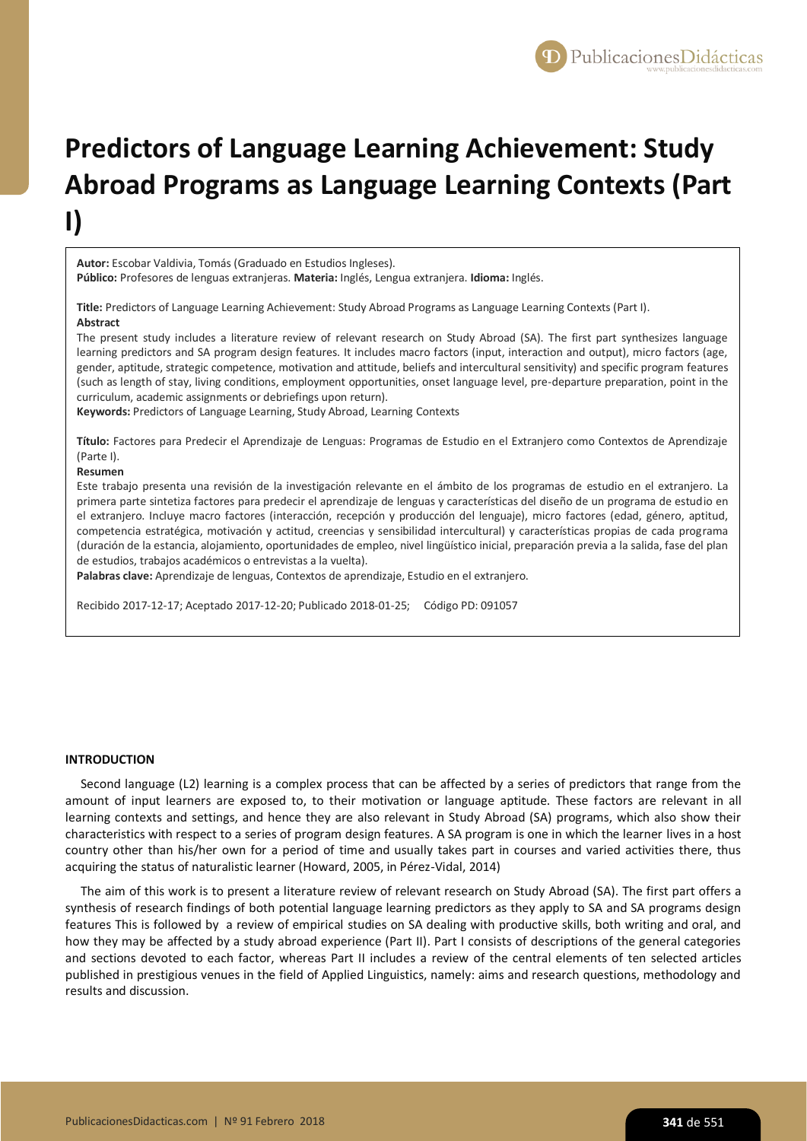

# **Predictors of Language Learning Achievement: Study Abroad Programs as Language Learning Contexts (Part I)**

**Autor:** Escobar Valdivia, Tomás (Graduado en Estudios Ingleses).

**Público:** Profesores de lenguas extranjeras. **Materia:** Inglés, Lengua extranjera. **Idioma:** Inglés.

**Title:** Predictors of Language Learning Achievement: Study Abroad Programs as Language Learning Contexts (Part I). **Abstract**

The present study includes a literature review of relevant research on Study Abroad (SA). The first part synthesizes language learning predictors and SA program design features. It includes macro factors (input, interaction and output), micro factors (age, gender, aptitude, strategic competence, motivation and attitude, beliefs and intercultural sensitivity) and specific program features (such as length of stay, living conditions, employment opportunities, onset language level, pre-departure preparation, point in the curriculum, academic assignments or debriefings upon return).

**Keywords:** Predictors of Language Learning, Study Abroad, Learning Contexts

**Título:** Factores para Predecir el Aprendizaje de Lenguas: Programas de Estudio en el Extranjero como Contextos de Aprendizaje (Parte I).

#### **Resumen**

Este trabajo presenta una revisión de la investigación relevante en el ámbito de los programas de estudio en el extranjero. La primera parte sintetiza factores para predecir el aprendizaje de lenguas y características del diseño de un programa de estudio en el extranjero. Incluye macro factores (interacción, recepción y producción del lenguaje), micro factores (edad, género, aptitud, competencia estratégica, motivación y actitud, creencias y sensibilidad intercultural) y características propias de cada programa (duración de la estancia, alojamiento, oportunidades de empleo, nivel lingüístico inicial, preparación previa a la salida, fase del plan de estudios, trabajos académicos o entrevistas a la vuelta).

**Palabras clave:** Aprendizaje de lenguas, Contextos de aprendizaje, Estudio en el extranjero.

Recibido 2017-12-17; Aceptado 2017-12-20; Publicado 2018-01-25; Código PD: 091057

## **INTRODUCTION**

Second language (L2) learning is a complex process that can be affected by a series of predictors that range from the amount of input learners are exposed to, to their motivation or language aptitude. These factors are relevant in all learning contexts and settings, and hence they are also relevant in Study Abroad (SA) programs, which also show their characteristics with respect to a series of program design features. A SA program is one in which the learner lives in a host country other than his/her own for a period of time and usually takes part in courses and varied activities there, thus acquiring the status of naturalistic learner (Howard, 2005, in Pérez-Vidal, 2014)

The aim of this work is to present a literature review of relevant research on Study Abroad (SA). The first part offers a synthesis of research findings of both potential language learning predictors as they apply to SA and SA programs design features This is followed by a review of empirical studies on SA dealing with productive skills, both writing and oral, and how they may be affected by a study abroad experience (Part II). Part I consists of descriptions of the general categories and sections devoted to each factor, whereas Part II includes a review of the central elements of ten selected articles published in prestigious venues in the field of Applied Linguistics, namely: aims and research questions, methodology and results and discussion.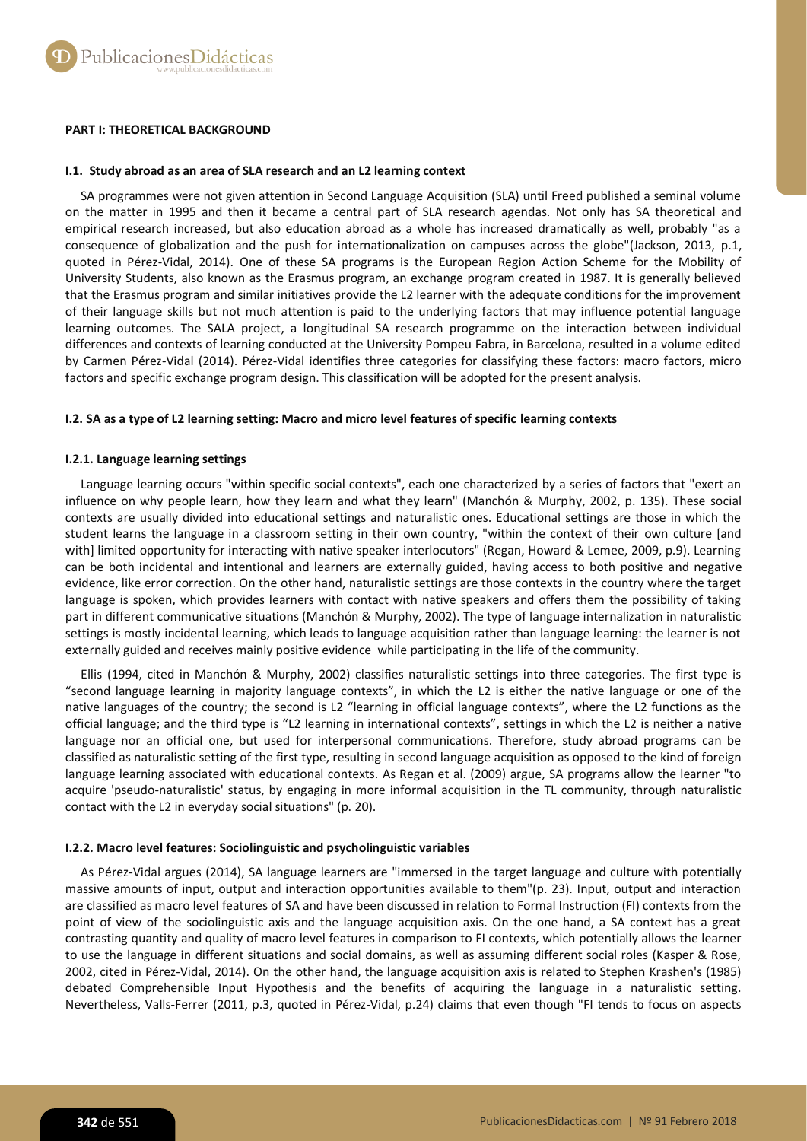# **PART I: THEORETICAL BACKGROUND**

## **I.1. Study abroad as an area of SLA research and an L2 learning context**

SA programmes were not given attention in Second Language Acquisition (SLA) until Freed published a seminal volume on the matter in 1995 and then it became a central part of SLA research agendas. Not only has SA theoretical and empirical research increased, but also education abroad as a whole has increased dramatically as well, probably "as a consequence of globalization and the push for internationalization on campuses across the globe"(Jackson, 2013, p.1, quoted in Pérez-Vidal, 2014). One of these SA programs is the European Region Action Scheme for the Mobility of University Students, also known as the Erasmus program, an exchange program created in 1987. It is generally believed that the Erasmus program and similar initiatives provide the L2 learner with the adequate conditions for the improvement of their language skills but not much attention is paid to the underlying factors that may influence potential language learning outcomes. The SALA project, a longitudinal SA research programme on the interaction between individual differences and contexts of learning conducted at the University Pompeu Fabra, in Barcelona, resulted in a volume edited by Carmen Pérez-Vidal (2014). Pérez-Vidal identifies three categories for classifying these factors: macro factors, micro factors and specific exchange program design. This classification will be adopted for the present analysis.

# **I.2. SA as a type of L2 learning setting: Macro and micro level features of specific learning contexts**

# **I.2.1. Language learning settings**

Language learning occurs "within specific social contexts", each one characterized by a series of factors that "exert an influence on why people learn, how they learn and what they learn" (Manchón & Murphy, 2002, p. 135). These social contexts are usually divided into educational settings and naturalistic ones. Educational settings are those in which the student learns the language in a classroom setting in their own country, "within the context of their own culture [and with] limited opportunity for interacting with native speaker interlocutors" (Regan, Howard & Lemee, 2009, p.9). Learning can be both incidental and intentional and learners are externally guided, having access to both positive and negative evidence, like error correction. On the other hand, naturalistic settings are those contexts in the country where the target language is spoken, which provides learners with contact with native speakers and offers them the possibility of taking part in different communicative situations (Manchón & Murphy, 2002). The type of language internalization in naturalistic settings is mostly incidental learning, which leads to language acquisition rather than language learning: the learner is not externally guided and receives mainly positive evidence while participating in the life of the community.

Ellis (1994, cited in Manchón & Murphy, 2002) classifies naturalistic settings into three categories. The first type is "second language learning in majority language contexts", in which the L2 is either the native language or one of the native languages of the country; the second is L2 "learning in official language contexts", where the L2 functions as the official language; and the third type is "L2 learning in international contexts", settings in which the L2 is neither a native language nor an official one, but used for interpersonal communications. Therefore, study abroad programs can be classified as naturalistic setting of the first type, resulting in second language acquisition as opposed to the kind of foreign language learning associated with educational contexts. As Regan et al. (2009) argue, SA programs allow the learner "to acquire 'pseudo-naturalistic' status, by engaging in more informal acquisition in the TL community, through naturalistic contact with the L2 in everyday social situations" (p. 20).

# **I.2.2. Macro level features: Sociolinguistic and psycholinguistic variables**

As Pérez-Vidal argues (2014), SA language learners are "immersed in the target language and culture with potentially massive amounts of input, output and interaction opportunities available to them"(p. 23). Input, output and interaction are classified as macro level features of SA and have been discussed in relation to Formal Instruction (FI) contexts from the point of view of the sociolinguistic axis and the language acquisition axis. On the one hand, a SA context has a great contrasting quantity and quality of macro level features in comparison to FI contexts, which potentially allows the learner to use the language in different situations and social domains, as well as assuming different social roles (Kasper & Rose, 2002, cited in Pérez-Vidal, 2014). On the other hand, the language acquisition axis is related to Stephen Krashen's (1985) debated Comprehensible Input Hypothesis and the benefits of acquiring the language in a naturalistic setting. Nevertheless, Valls-Ferrer (2011, p.3, quoted in Pérez-Vidal, p.24) claims that even though "FI tends to focus on aspects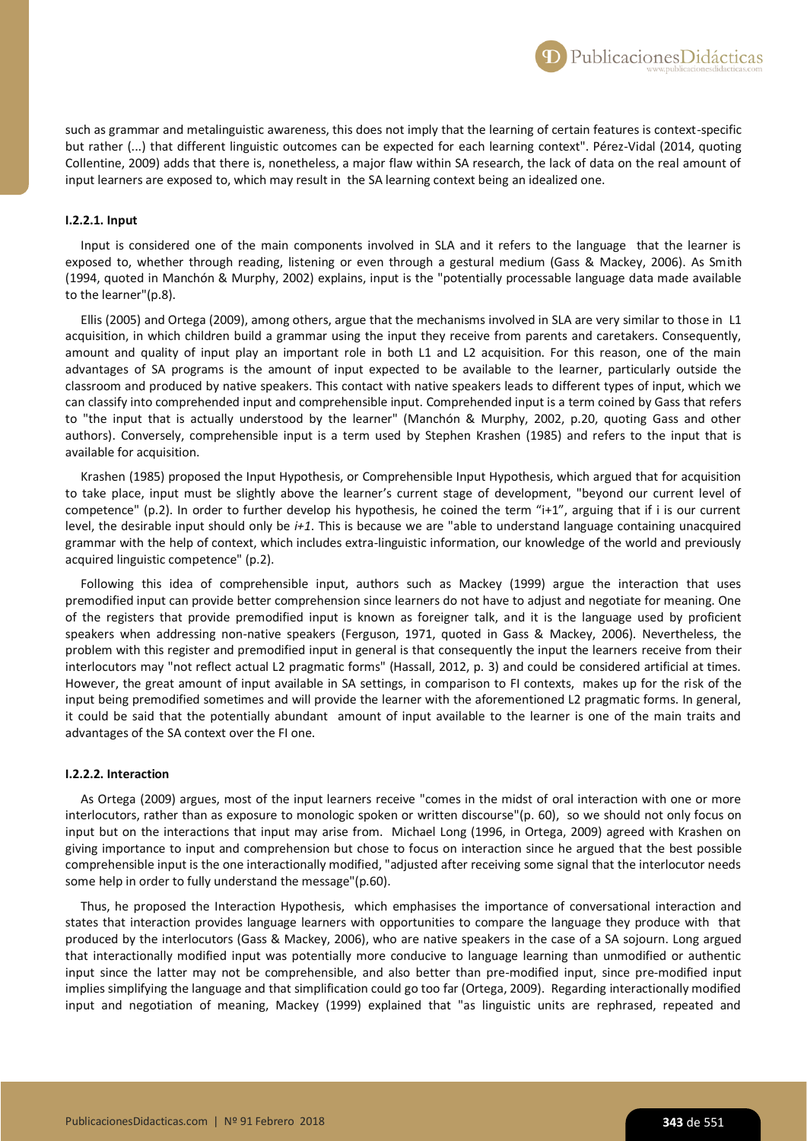such as grammar and metalinguistic awareness, this does not imply that the learning of certain features is context-specific but rather (...) that different linguistic outcomes can be expected for each learning context". Pérez-Vidal (2014, quoting Collentine, 2009) adds that there is, nonetheless, a major flaw within SA research, the lack of data on the real amount of input learners are exposed to, which may result in the SA learning context being an idealized one.

## **I.2.2.1. Input**

Input is considered one of the main components involved in SLA and it refers to the language that the learner is exposed to, whether through reading, listening or even through a gestural medium (Gass & Mackey, 2006). As Smith (1994, quoted in Manchón & Murphy, 2002) explains, input is the "potentially processable language data made available to the learner"(p.8).

Ellis (2005) and Ortega (2009), among others, argue that the mechanisms involved in SLA are very similar to those in L1 acquisition, in which children build a grammar using the input they receive from parents and caretakers. Consequently, amount and quality of input play an important role in both L1 and L2 acquisition. For this reason, one of the main advantages of SA programs is the amount of input expected to be available to the learner, particularly outside the classroom and produced by native speakers. This contact with native speakers leads to different types of input, which we can classify into comprehended input and comprehensible input. Comprehended input is a term coined by Gass that refers to "the input that is actually understood by the learner" (Manchón & Murphy, 2002, p.20, quoting Gass and other authors). Conversely, comprehensible input is a term used by Stephen Krashen (1985) and refers to the input that is available for acquisition.

Krashen (1985) proposed the Input Hypothesis, or Comprehensible Input Hypothesis, which argued that for acquisition to take place, input must be slightly above the learner's current stage of development, "beyond our current level of competence" (p.2). In order to further develop his hypothesis, he coined the term "i+1", arguing that if i is our current level, the desirable input should only be *i+1*. This is because we are "able to understand language containing unacquired grammar with the help of context, which includes extra-linguistic information, our knowledge of the world and previously acquired linguistic competence" (p.2).

Following this idea of comprehensible input, authors such as Mackey (1999) argue the interaction that uses premodified input can provide better comprehension since learners do not have to adjust and negotiate for meaning. One of the registers that provide premodified input is known as foreigner talk, and it is the language used by proficient speakers when addressing non-native speakers (Ferguson, 1971, quoted in Gass & Mackey, 2006). Nevertheless, the problem with this register and premodified input in general is that consequently the input the learners receive from their interlocutors may "not reflect actual L2 pragmatic forms" (Hassall, 2012, p. 3) and could be considered artificial at times. However, the great amount of input available in SA settings, in comparison to FI contexts, makes up for the risk of the input being premodified sometimes and will provide the learner with the aforementioned L2 pragmatic forms. In general, it could be said that the potentially abundant amount of input available to the learner is one of the main traits and advantages of the SA context over the FI one.

#### **I.2.2.2. Interaction**

As Ortega (2009) argues, most of the input learners receive "comes in the midst of oral interaction with one or more interlocutors, rather than as exposure to monologic spoken or written discourse"(p. 60), so we should not only focus on input but on the interactions that input may arise from. Michael Long (1996, in Ortega, 2009) agreed with Krashen on giving importance to input and comprehension but chose to focus on interaction since he argued that the best possible comprehensible input is the one interactionally modified, "adjusted after receiving some signal that the interlocutor needs some help in order to fully understand the message"(p.60).

Thus, he proposed the Interaction Hypothesis, which emphasises the importance of conversational interaction and states that interaction provides language learners with opportunities to compare the language they produce with that produced by the interlocutors (Gass & Mackey, 2006), who are native speakers in the case of a SA sojourn. Long argued that interactionally modified input was potentially more conducive to language learning than unmodified or authentic input since the latter may not be comprehensible, and also better than pre-modified input, since pre-modified input implies simplifying the language and that simplification could go too far (Ortega, 2009). Regarding interactionally modified input and negotiation of meaning, Mackey (1999) explained that "as linguistic units are rephrased, repeated and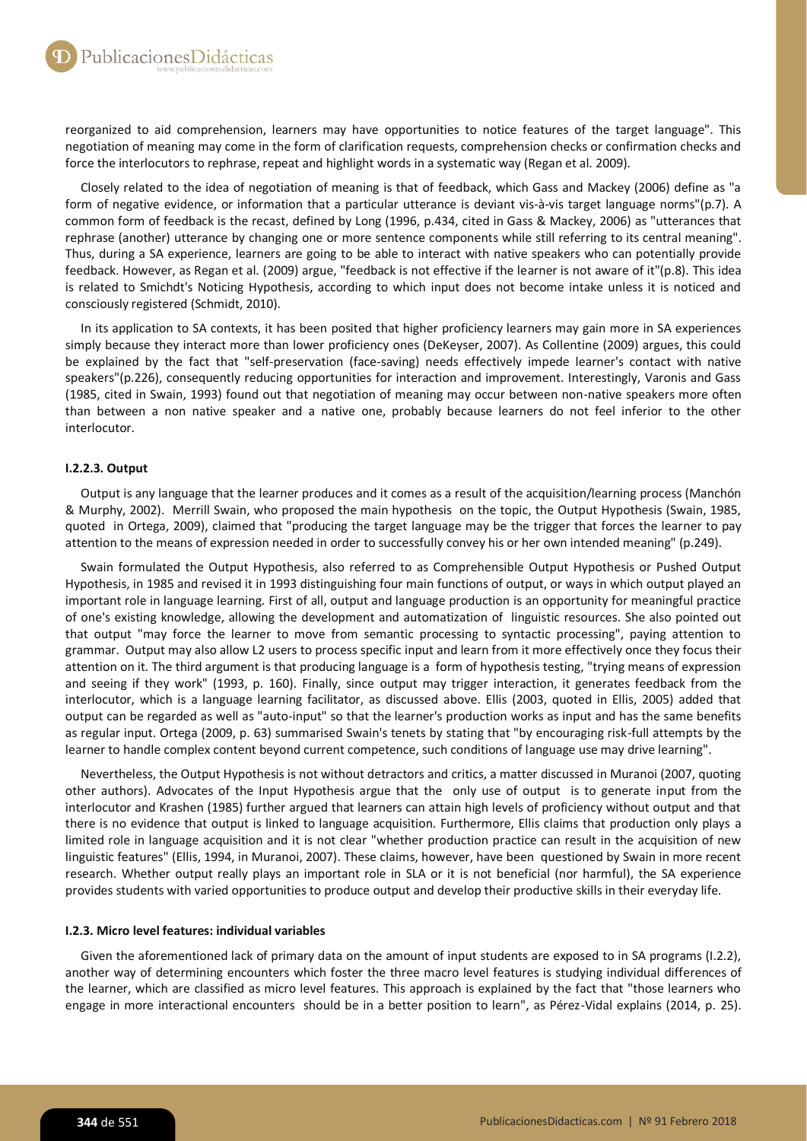reorganized to aid comprehension, learners may have opportunities to notice features of the target language". This negotiation of meaning may come in the form of clarification requests, comprehension checks or confirmation checks and force the interlocutors to rephrase, repeat and highlight words in a systematic way (Regan et al. 2009).

Closely related to the idea of negotiation of meaning is that of feedback, which Gass and Mackey (2006) define as "a form of negative evidence, or information that a particular utterance is deviant vis-à-vis target language norms"(p.7). A common form of feedback is the recast, defined by Long (1996, p.434, cited in Gass & Mackey, 2006) as "utterances that rephrase (another) utterance by changing one or more sentence components while still referring to its central meaning". Thus, during a SA experience, learners are going to be able to interact with native speakers who can potentially provide feedback. However, as Regan et al. (2009) argue, "feedback is not effective if the learner is not aware of it"(p.8). This idea is related to Smichdt's Noticing Hypothesis, according to which input does not become intake unless it is noticed and consciously registered (Schmidt, 2010).

In its application to SA contexts, it has been posited that higher proficiency learners may gain more in SA experiences simply because they interact more than lower proficiency ones (DeKeyser, 2007). As Collentine (2009) argues, this could be explained by the fact that "self-preservation (face-saving) needs effectively impede learner's contact with native speakers"(p.226), consequently reducing opportunities for interaction and improvement. Interestingly, Varonis and Gass (1985, cited in Swain, 1993) found out that negotiation of meaning may occur between non-native speakers more often than between a non native speaker and a native one, probably because learners do not feel inferior to the other interlocutor.

# **I.2.2.3. Output**

Output is any language that the learner produces and it comes as a result of the acquisition/learning process (Manchón & Murphy, 2002). Merrill Swain, who proposed the main hypothesis on the topic, the Output Hypothesis (Swain, 1985, quoted in Ortega, 2009), claimed that "producing the target language may be the trigger that forces the learner to pay attention to the means of expression needed in order to successfully convey his or her own intended meaning" (p.249).

Swain formulated the Output Hypothesis, also referred to as Comprehensible Output Hypothesis or Pushed Output Hypothesis, in 1985 and revised it in 1993 distinguishing four main functions of output, or ways in which output played an important role in language learning. First of all, output and language production is an opportunity for meaningful practice of one's existing knowledge, allowing the development and automatization of linguistic resources. She also pointed out that output "may force the learner to move from semantic processing to syntactic processing", paying attention to grammar. Output may also allow L2 users to process specific input and learn from it more effectively once they focus their attention on it. The third argument is that producing language is a form of hypothesis testing, "trying means of expression and seeing if they work" (1993, p. 160). Finally, since output may trigger interaction, it generates feedback from the interlocutor, which is a language learning facilitator, as discussed above. Ellis (2003, quoted in Ellis, 2005) added that output can be regarded as well as "auto-input" so that the learner's production works as input and has the same benefits as regular input. Ortega (2009, p. 63) summarised Swain's tenets by stating that "by encouraging risk-full attempts by the learner to handle complex content beyond current competence, such conditions of language use may drive learning".

Nevertheless, the Output Hypothesis is not without detractors and critics, a matter discussed in Muranoi (2007, quoting other authors). Advocates of the Input Hypothesis argue that the only use of output is to generate input from the interlocutor and Krashen (1985) further argued that learners can attain high levels of proficiency without output and that there is no evidence that output is linked to language acquisition. Furthermore, Ellis claims that production only plays a limited role in language acquisition and it is not clear "whether production practice can result in the acquisition of new linguistic features" (Ellis, 1994, in Muranoi, 2007). These claims, however, have been questioned by Swain in more recent research. Whether output really plays an important role in SLA or it is not beneficial (nor harmful), the SA experience provides students with varied opportunities to produce output and develop their productive skills in their everyday life.

## **I.2.3. Micro level features: individual variables**

Given the aforementioned lack of primary data on the amount of input students are exposed to in SA programs (I.2.2), another way of determining encounters which foster the three macro level features is studying individual differences of the learner, which are classified as micro level features. This approach is explained by the fact that "those learners who engage in more interactional encounters should be in a better position to learn", as Pérez-Vidal explains (2014, p. 25).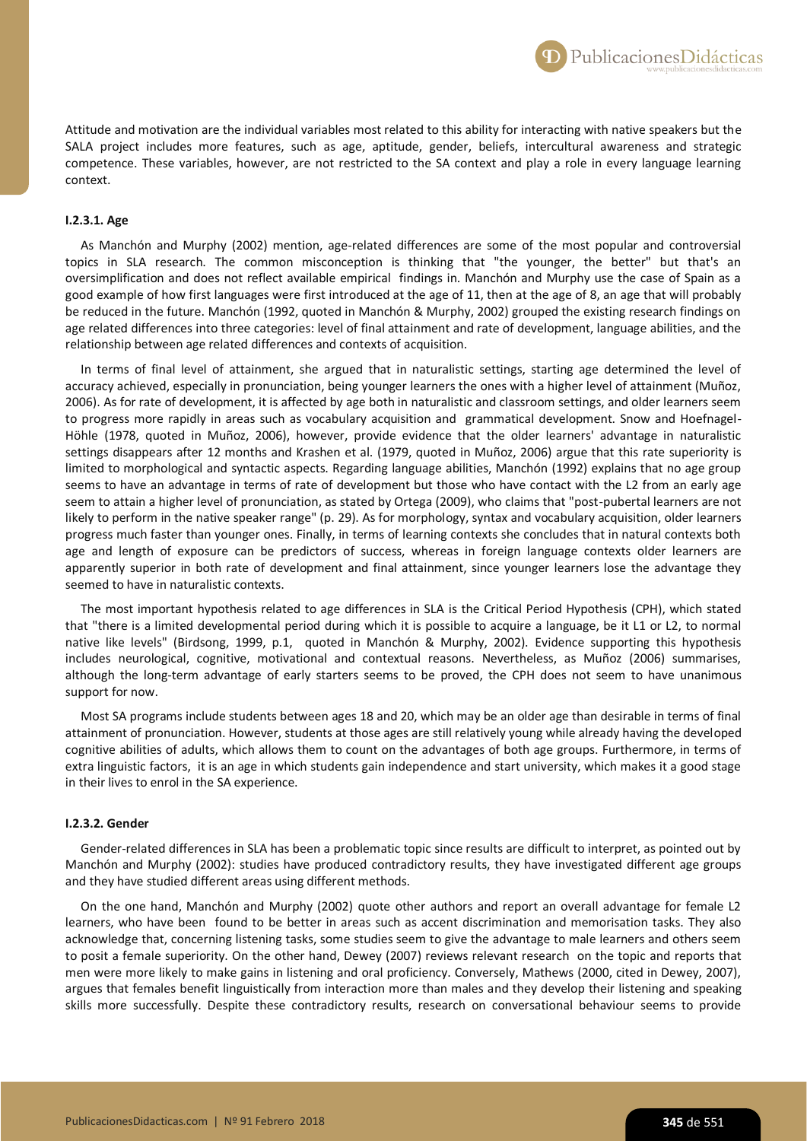Attitude and motivation are the individual variables most related to this ability for interacting with native speakers but the SALA project includes more features, such as age, aptitude, gender, beliefs, intercultural awareness and strategic competence. These variables, however, are not restricted to the SA context and play a role in every language learning context.

# **I.2.3.1. Age**

As Manchón and Murphy (2002) mention, age-related differences are some of the most popular and controversial topics in SLA research. The common misconception is thinking that "the younger, the better" but that's an oversimplification and does not reflect available empirical findings in. Manchón and Murphy use the case of Spain as a good example of how first languages were first introduced at the age of 11, then at the age of 8, an age that will probably be reduced in the future. Manchón (1992, quoted in Manchón & Murphy, 2002) grouped the existing research findings on age related differences into three categories: level of final attainment and rate of development, language abilities, and the relationship between age related differences and contexts of acquisition.

In terms of final level of attainment, she argued that in naturalistic settings, starting age determined the level of accuracy achieved, especially in pronunciation, being younger learners the ones with a higher level of attainment (Muñoz, 2006). As for rate of development, it is affected by age both in naturalistic and classroom settings, and older learners seem to progress more rapidly in areas such as vocabulary acquisition and grammatical development. Snow and Hoefnagel-Höhle (1978, quoted in Muñoz, 2006), however, provide evidence that the older learners' advantage in naturalistic settings disappears after 12 months and Krashen et al. (1979, quoted in Muñoz, 2006) argue that this rate superiority is limited to morphological and syntactic aspects. Regarding language abilities, Manchón (1992) explains that no age group seems to have an advantage in terms of rate of development but those who have contact with the L2 from an early age seem to attain a higher level of pronunciation, as stated by Ortega (2009), who claims that "post-pubertal learners are not likely to perform in the native speaker range" (p. 29). As for morphology, syntax and vocabulary acquisition, older learners progress much faster than younger ones. Finally, in terms of learning contexts she concludes that in natural contexts both age and length of exposure can be predictors of success, whereas in foreign language contexts older learners are apparently superior in both rate of development and final attainment, since younger learners lose the advantage they seemed to have in naturalistic contexts.

The most important hypothesis related to age differences in SLA is the Critical Period Hypothesis (CPH), which stated that "there is a limited developmental period during which it is possible to acquire a language, be it L1 or L2, to normal native like levels" (Birdsong, 1999, p.1, quoted in Manchón & Murphy, 2002). Evidence supporting this hypothesis includes neurological, cognitive, motivational and contextual reasons. Nevertheless, as Muñoz (2006) summarises, although the long-term advantage of early starters seems to be proved, the CPH does not seem to have unanimous support for now.

Most SA programs include students between ages 18 and 20, which may be an older age than desirable in terms of final attainment of pronunciation. However, students at those ages are still relatively young while already having the developed cognitive abilities of adults, which allows them to count on the advantages of both age groups. Furthermore, in terms of extra linguistic factors, it is an age in which students gain independence and start university, which makes it a good stage in their lives to enrol in the SA experience.

#### **I.2.3.2. Gender**

Gender-related differences in SLA has been a problematic topic since results are difficult to interpret, as pointed out by Manchón and Murphy (2002): studies have produced contradictory results, they have investigated different age groups and they have studied different areas using different methods.

On the one hand, Manchón and Murphy (2002) quote other authors and report an overall advantage for female L2 learners, who have been found to be better in areas such as accent discrimination and memorisation tasks. They also acknowledge that, concerning listening tasks, some studies seem to give the advantage to male learners and others seem to posit a female superiority. On the other hand, Dewey (2007) reviews relevant research on the topic and reports that men were more likely to make gains in listening and oral proficiency. Conversely, Mathews (2000, cited in Dewey, 2007), argues that females benefit linguistically from interaction more than males and they develop their listening and speaking skills more successfully. Despite these contradictory results, research on conversational behaviour seems to provide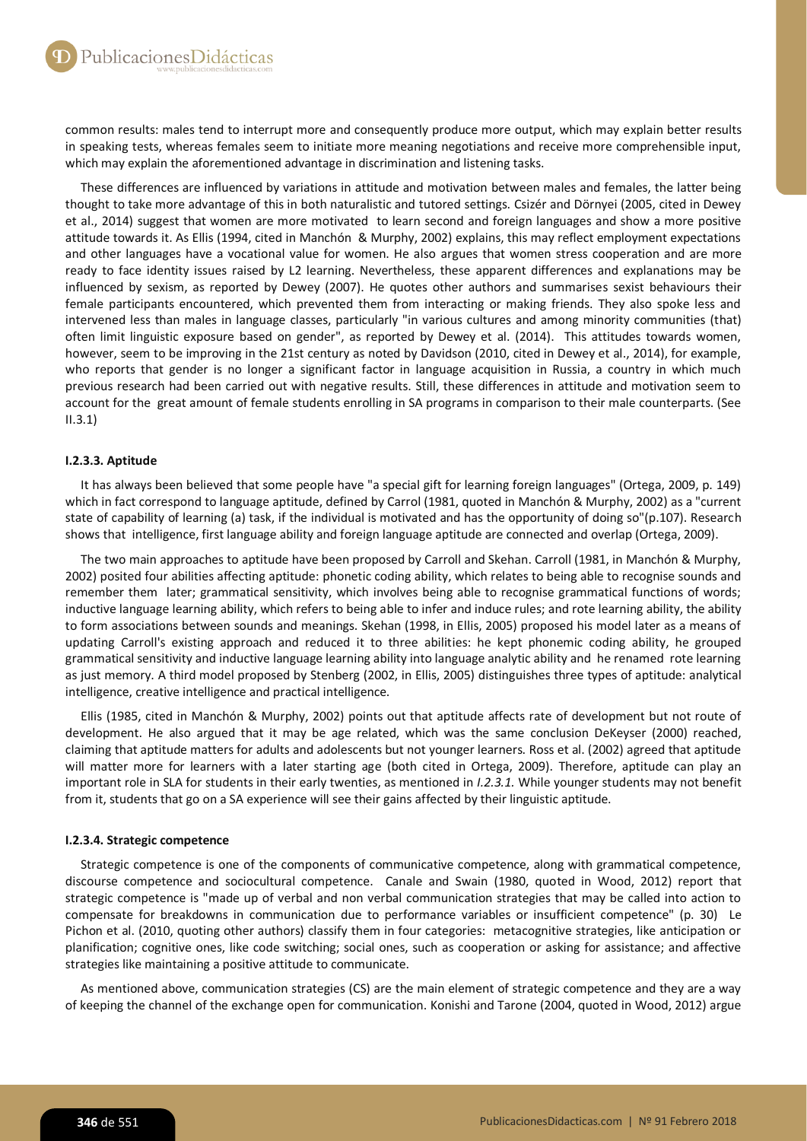common results: males tend to interrupt more and consequently produce more output, which may explain better results in speaking tests, whereas females seem to initiate more meaning negotiations and receive more comprehensible input, which may explain the aforementioned advantage in discrimination and listening tasks.

These differences are influenced by variations in attitude and motivation between males and females, the latter being thought to take more advantage of this in both naturalistic and tutored settings. Csizér and Dörnyei (2005, cited in Dewey et al., 2014) suggest that women are more motivated to learn second and foreign languages and show a more positive attitude towards it. As Ellis (1994, cited in Manchón & Murphy, 2002) explains, this may reflect employment expectations and other languages have a vocational value for women. He also argues that women stress cooperation and are more ready to face identity issues raised by L2 learning. Nevertheless, these apparent differences and explanations may be influenced by sexism, as reported by Dewey (2007). He quotes other authors and summarises sexist behaviours their female participants encountered, which prevented them from interacting or making friends. They also spoke less and intervened less than males in language classes, particularly "in various cultures and among minority communities (that) often limit linguistic exposure based on gender", as reported by Dewey et al. (2014). This attitudes towards women, however, seem to be improving in the 21st century as noted by Davidson (2010, cited in Dewey et al., 2014), for example, who reports that gender is no longer a significant factor in language acquisition in Russia, a country in which much previous research had been carried out with negative results. Still, these differences in attitude and motivation seem to account for the great amount of female students enrolling in SA programs in comparison to their male counterparts. (See II.3.1)

# **I.2.3.3. Aptitude**

It has always been believed that some people have "a special gift for learning foreign languages" (Ortega, 2009, p. 149) which in fact correspond to language aptitude, defined by Carrol (1981, quoted in Manchón & Murphy, 2002) as a "current state of capability of learning (a) task, if the individual is motivated and has the opportunity of doing so"(p.107). Research shows that intelligence, first language ability and foreign language aptitude are connected and overlap (Ortega, 2009).

The two main approaches to aptitude have been proposed by Carroll and Skehan. Carroll (1981, in Manchón & Murphy, 2002) posited four abilities affecting aptitude: phonetic coding ability, which relates to being able to recognise sounds and remember them later; grammatical sensitivity, which involves being able to recognise grammatical functions of words; inductive language learning ability, which refers to being able to infer and induce rules; and rote learning ability, the ability to form associations between sounds and meanings. Skehan (1998, in Ellis, 2005) proposed his model later as a means of updating Carroll's existing approach and reduced it to three abilities: he kept phonemic coding ability, he grouped grammatical sensitivity and inductive language learning ability into language analytic ability and he renamed rote learning as just memory. A third model proposed by Stenberg (2002, in Ellis, 2005) distinguishes three types of aptitude: analytical intelligence, creative intelligence and practical intelligence.

Ellis (1985, cited in Manchón & Murphy, 2002) points out that aptitude affects rate of development but not route of development. He also argued that it may be age related, which was the same conclusion DeKeyser (2000) reached, claiming that aptitude matters for adults and adolescents but not younger learners. Ross et al. (2002) agreed that aptitude will matter more for learners with a later starting age (both cited in Ortega, 2009). Therefore, aptitude can play an important role in SLA for students in their early twenties, as mentioned in *I.2.3.1.* While younger students may not benefit from it, students that go on a SA experience will see their gains affected by their linguistic aptitude.

# **I.2.3.4. Strategic competence**

Strategic competence is one of the components of communicative competence, along with grammatical competence, discourse competence and sociocultural competence. Canale and Swain (1980, quoted in Wood, 2012) report that strategic competence is "made up of verbal and non verbal communication strategies that may be called into action to compensate for breakdowns in communication due to performance variables or insufficient competence" (p. 30) Le Pichon et al. (2010, quoting other authors) classify them in four categories: metacognitive strategies, like anticipation or planification; cognitive ones, like code switching; social ones, such as cooperation or asking for assistance; and affective strategies like maintaining a positive attitude to communicate.

As mentioned above, communication strategies (CS) are the main element of strategic competence and they are a way of keeping the channel of the exchange open for communication. Konishi and Tarone (2004, quoted in Wood, 2012) argue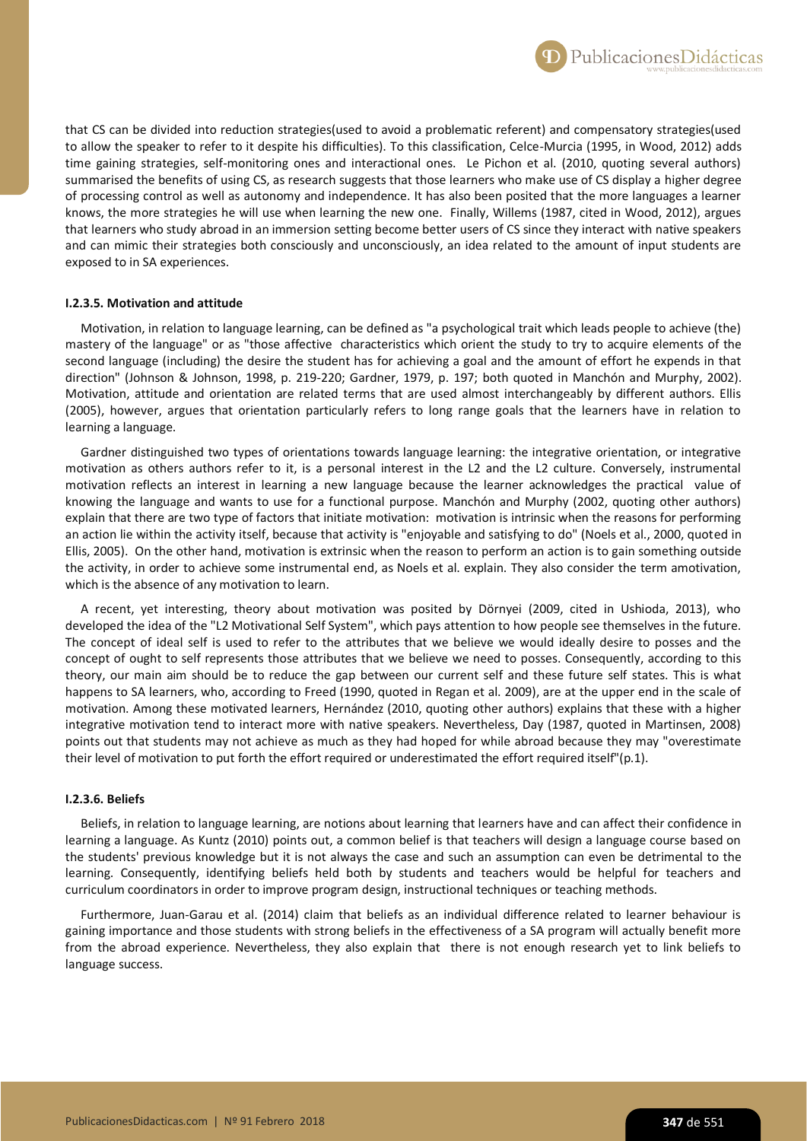that CS can be divided into reduction strategies(used to avoid a problematic referent) and compensatory strategies(used to allow the speaker to refer to it despite his difficulties). To this classification, Celce-Murcia (1995, in Wood, 2012) adds time gaining strategies, self-monitoring ones and interactional ones. Le Pichon et al. (2010, quoting several authors) summarised the benefits of using CS, as research suggests that those learners who make use of CS display a higher degree of processing control as well as autonomy and independence. It has also been posited that the more languages a learner knows, the more strategies he will use when learning the new one. Finally, Willems (1987, cited in Wood, 2012), argues that learners who study abroad in an immersion setting become better users of CS since they interact with native speakers and can mimic their strategies both consciously and unconsciously, an idea related to the amount of input students are exposed to in SA experiences.

## **I.2.3.5. Motivation and attitude**

Motivation, in relation to language learning, can be defined as "a psychological trait which leads people to achieve (the) mastery of the language" or as "those affective characteristics which orient the study to try to acquire elements of the second language (including) the desire the student has for achieving a goal and the amount of effort he expends in that direction" (Johnson & Johnson, 1998, p. 219-220; Gardner, 1979, p. 197; both quoted in Manchón and Murphy, 2002). Motivation, attitude and orientation are related terms that are used almost interchangeably by different authors. Ellis (2005), however, argues that orientation particularly refers to long range goals that the learners have in relation to learning a language.

Gardner distinguished two types of orientations towards language learning: the integrative orientation, or integrative motivation as others authors refer to it, is a personal interest in the L2 and the L2 culture. Conversely, instrumental motivation reflects an interest in learning a new language because the learner acknowledges the practical value of knowing the language and wants to use for a functional purpose. Manchón and Murphy (2002, quoting other authors) explain that there are two type of factors that initiate motivation: motivation is intrinsic when the reasons for performing an action lie within the activity itself, because that activity is "enjoyable and satisfying to do" (Noels et al., 2000, quoted in Ellis, 2005). On the other hand, motivation is extrinsic when the reason to perform an action is to gain something outside the activity, in order to achieve some instrumental end, as Noels et al. explain. They also consider the term amotivation, which is the absence of any motivation to learn.

A recent, yet interesting, theory about motivation was posited by Dörnyei (2009, cited in Ushioda, 2013), who developed the idea of the "L2 Motivational Self System", which pays attention to how people see themselves in the future. The concept of ideal self is used to refer to the attributes that we believe we would ideally desire to posses and the concept of ought to self represents those attributes that we believe we need to posses. Consequently, according to this theory, our main aim should be to reduce the gap between our current self and these future self states. This is what happens to SA learners, who, according to Freed (1990, quoted in Regan et al. 2009), are at the upper end in the scale of motivation. Among these motivated learners, Hernández (2010, quoting other authors) explains that these with a higher integrative motivation tend to interact more with native speakers. Nevertheless, Day (1987, quoted in Martinsen, 2008) points out that students may not achieve as much as they had hoped for while abroad because they may "overestimate their level of motivation to put forth the effort required or underestimated the effort required itself"(p.1).

## **I.2.3.6. Beliefs**

Beliefs, in relation to language learning, are notions about learning that learners have and can affect their confidence in learning a language. As Kuntz (2010) points out, a common belief is that teachers will design a language course based on the students' previous knowledge but it is not always the case and such an assumption can even be detrimental to the learning. Consequently, identifying beliefs held both by students and teachers would be helpful for teachers and curriculum coordinators in order to improve program design, instructional techniques or teaching methods.

Furthermore, Juan-Garau et al. (2014) claim that beliefs as an individual difference related to learner behaviour is gaining importance and those students with strong beliefs in the effectiveness of a SA program will actually benefit more from the abroad experience. Nevertheless, they also explain that there is not enough research yet to link beliefs to language success.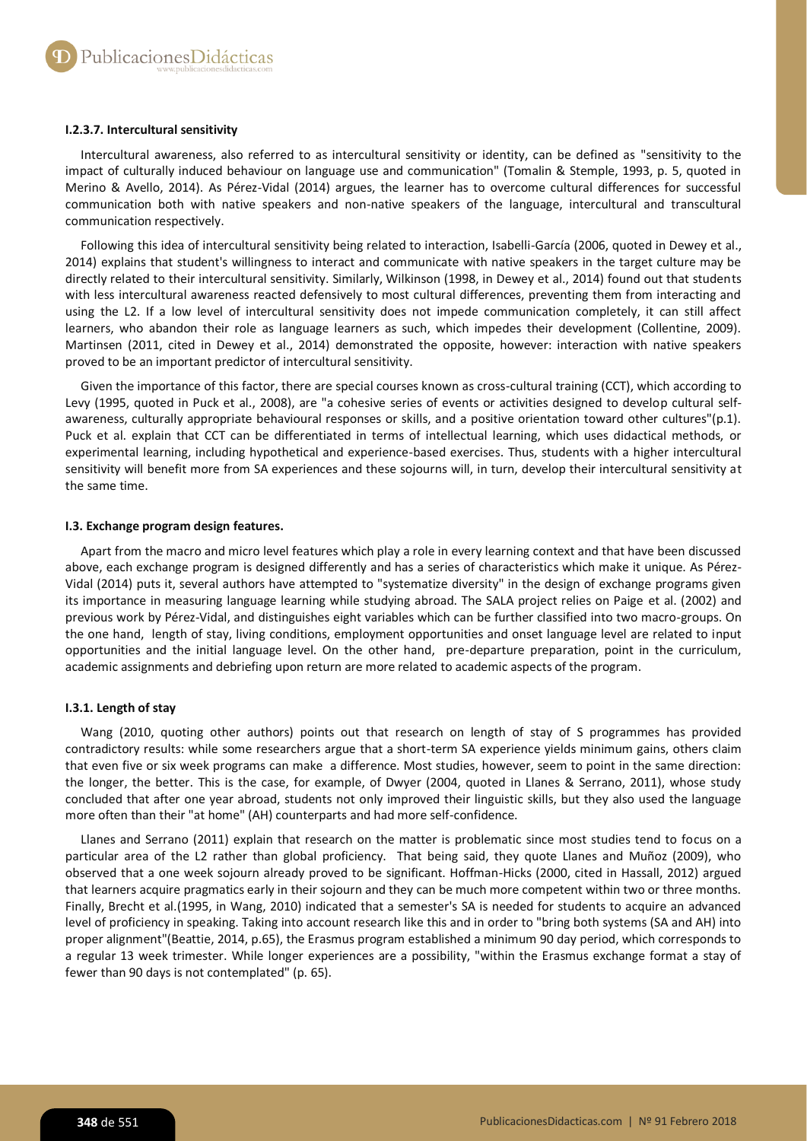## **I.2.3.7. Intercultural sensitivity**

Intercultural awareness, also referred to as intercultural sensitivity or identity, can be defined as "sensitivity to the impact of culturally induced behaviour on language use and communication" (Tomalin & Stemple, 1993, p. 5, quoted in Merino & Avello, 2014). As Pérez-Vidal (2014) argues, the learner has to overcome cultural differences for successful communication both with native speakers and non-native speakers of the language, intercultural and transcultural communication respectively.

Following this idea of intercultural sensitivity being related to interaction, Isabelli-García (2006, quoted in Dewey et al., 2014) explains that student's willingness to interact and communicate with native speakers in the target culture may be directly related to their intercultural sensitivity. Similarly, Wilkinson (1998, in Dewey et al., 2014) found out that students with less intercultural awareness reacted defensively to most cultural differences, preventing them from interacting and using the L2. If a low level of intercultural sensitivity does not impede communication completely, it can still affect learners, who abandon their role as language learners as such, which impedes their development (Collentine, 2009). Martinsen (2011, cited in Dewey et al., 2014) demonstrated the opposite, however: interaction with native speakers proved to be an important predictor of intercultural sensitivity.

Given the importance of this factor, there are special courses known as cross-cultural training (CCT), which according to Levy (1995, quoted in Puck et al., 2008), are "a cohesive series of events or activities designed to develop cultural selfawareness, culturally appropriate behavioural responses or skills, and a positive orientation toward other cultures"(p.1). Puck et al. explain that CCT can be differentiated in terms of intellectual learning, which uses didactical methods, or experimental learning, including hypothetical and experience-based exercises. Thus, students with a higher intercultural sensitivity will benefit more from SA experiences and these sojourns will, in turn, develop their intercultural sensitivity at the same time.

# **I.3. Exchange program design features.**

Apart from the macro and micro level features which play a role in every learning context and that have been discussed above, each exchange program is designed differently and has a series of characteristics which make it unique. As Pérez-Vidal (2014) puts it, several authors have attempted to "systematize diversity" in the design of exchange programs given its importance in measuring language learning while studying abroad. The SALA project relies on Paige et al. (2002) and previous work by Pérez-Vidal, and distinguishes eight variables which can be further classified into two macro-groups. On the one hand, length of stay, living conditions, employment opportunities and onset language level are related to input opportunities and the initial language level. On the other hand, pre-departure preparation, point in the curriculum, academic assignments and debriefing upon return are more related to academic aspects of the program.

# **I.3.1. Length of stay**

Wang (2010, quoting other authors) points out that research on length of stay of S programmes has provided contradictory results: while some researchers argue that a short-term SA experience yields minimum gains, others claim that even five or six week programs can make a difference. Most studies, however, seem to point in the same direction: the longer, the better. This is the case, for example, of Dwyer (2004, quoted in Llanes & Serrano, 2011), whose study concluded that after one year abroad, students not only improved their linguistic skills, but they also used the language more often than their "at home" (AH) counterparts and had more self-confidence.

Llanes and Serrano (2011) explain that research on the matter is problematic since most studies tend to focus on a particular area of the L2 rather than global proficiency. That being said, they quote Llanes and Muñoz (2009), who observed that a one week sojourn already proved to be significant. Hoffman-Hicks (2000, cited in Hassall, 2012) argued that learners acquire pragmatics early in their sojourn and they can be much more competent within two or three months. Finally, Brecht et al.(1995, in Wang, 2010) indicated that a semester's SA is needed for students to acquire an advanced level of proficiency in speaking. Taking into account research like this and in order to "bring both systems (SA and AH) into proper alignment"(Beattie, 2014, p.65), the Erasmus program established a minimum 90 day period, which corresponds to a regular 13 week trimester. While longer experiences are a possibility, "within the Erasmus exchange format a stay of fewer than 90 days is not contemplated" (p. 65).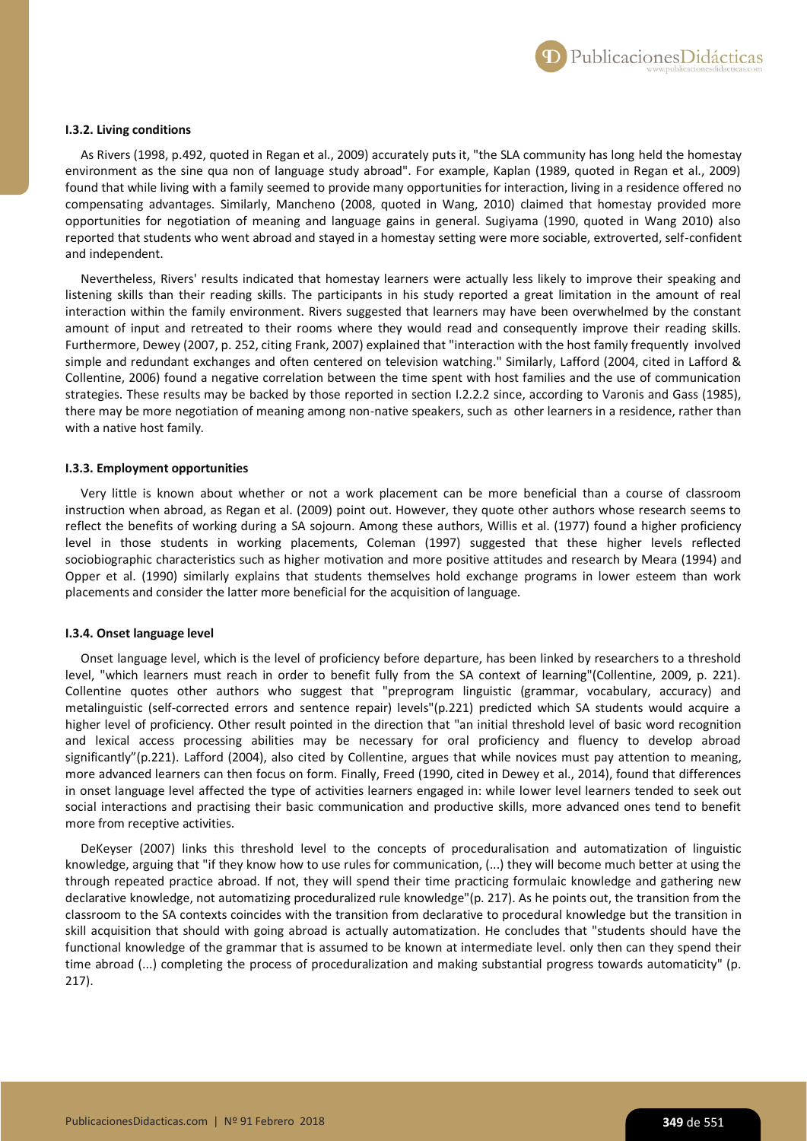

## **I.3.2. Living conditions**

As Rivers (1998, p.492, quoted in Regan et al., 2009) accurately puts it, "the SLA community has long held the homestay environment as the sine qua non of language study abroad". For example, Kaplan (1989, quoted in Regan et al., 2009) found that while living with a family seemed to provide many opportunities for interaction, living in a residence offered no compensating advantages. Similarly, Mancheno (2008, quoted in Wang, 2010) claimed that homestay provided more opportunities for negotiation of meaning and language gains in general. Sugiyama (1990, quoted in Wang 2010) also reported that students who went abroad and stayed in a homestay setting were more sociable, extroverted, self-confident and independent.

Nevertheless, Rivers' results indicated that homestay learners were actually less likely to improve their speaking and listening skills than their reading skills. The participants in his study reported a great limitation in the amount of real interaction within the family environment. Rivers suggested that learners may have been overwhelmed by the constant amount of input and retreated to their rooms where they would read and consequently improve their reading skills. Furthermore, Dewey (2007, p. 252, citing Frank, 2007) explained that "interaction with the host family frequently involved simple and redundant exchanges and often centered on television watching." Similarly, Lafford (2004, cited in Lafford & Collentine, 2006) found a negative correlation between the time spent with host families and the use of communication strategies. These results may be backed by those reported in section I.2.2.2 since, according to Varonis and Gass (1985), there may be more negotiation of meaning among non-native speakers, such as other learners in a residence, rather than with a native host family.

#### **I.3.3. Employment opportunities**

Very little is known about whether or not a work placement can be more beneficial than a course of classroom instruction when abroad, as Regan et al. (2009) point out. However, they quote other authors whose research seems to reflect the benefits of working during a SA sojourn. Among these authors, Willis et al. (1977) found a higher proficiency level in those students in working placements, Coleman (1997) suggested that these higher levels reflected sociobiographic characteristics such as higher motivation and more positive attitudes and research by Meara (1994) and Opper et al. (1990) similarly explains that students themselves hold exchange programs in lower esteem than work placements and consider the latter more beneficial for the acquisition of language.

#### **I.3.4. Onset language level**

Onset language level, which is the level of proficiency before departure, has been linked by researchers to a threshold level, "which learners must reach in order to benefit fully from the SA context of learning"(Collentine, 2009, p. 221). Collentine quotes other authors who suggest that "preprogram linguistic (grammar, vocabulary, accuracy) and metalinguistic (self-corrected errors and sentence repair) levels"(p.221) predicted which SA students would acquire a higher level of proficiency. Other result pointed in the direction that "an initial threshold level of basic word recognition and lexical access processing abilities may be necessary for oral proficiency and fluency to develop abroad significantly"(p.221). Lafford (2004), also cited by Collentine, argues that while novices must pay attention to meaning, more advanced learners can then focus on form. Finally, Freed (1990, cited in Dewey et al., 2014), found that differences in onset language level affected the type of activities learners engaged in: while lower level learners tended to seek out social interactions and practising their basic communication and productive skills, more advanced ones tend to benefit more from receptive activities.

DeKeyser (2007) links this threshold level to the concepts of proceduralisation and automatization of linguistic knowledge, arguing that "if they know how to use rules for communication, (...) they will become much better at using the through repeated practice abroad. If not, they will spend their time practicing formulaic knowledge and gathering new declarative knowledge, not automatizing proceduralized rule knowledge"(p. 217). As he points out, the transition from the classroom to the SA contexts coincides with the transition from declarative to procedural knowledge but the transition in skill acquisition that should with going abroad is actually automatization. He concludes that "students should have the functional knowledge of the grammar that is assumed to be known at intermediate level. only then can they spend their time abroad (...) completing the process of proceduralization and making substantial progress towards automaticity" (p. 217).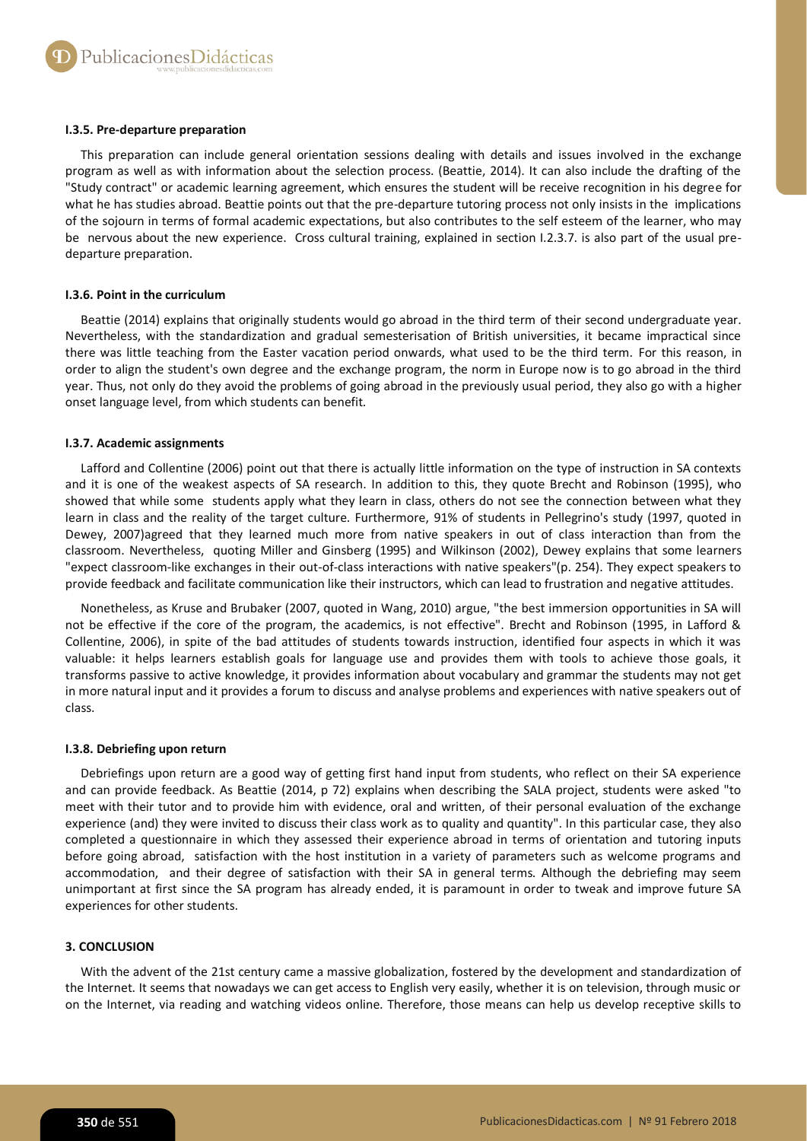## **I.3.5. Pre-departure preparation**

This preparation can include general orientation sessions dealing with details and issues involved in the exchange program as well as with information about the selection process. (Beattie, 2014). It can also include the drafting of the "Study contract" or academic learning agreement, which ensures the student will be receive recognition in his degree for what he has studies abroad. Beattie points out that the pre-departure tutoring process not only insists in the implications of the sojourn in terms of formal academic expectations, but also contributes to the self esteem of the learner, who may be nervous about the new experience. Cross cultural training, explained in section I.2.3.7. is also part of the usual predeparture preparation.

## **I.3.6. Point in the curriculum**

Beattie (2014) explains that originally students would go abroad in the third term of their second undergraduate year. Nevertheless, with the standardization and gradual semesterisation of British universities, it became impractical since there was little teaching from the Easter vacation period onwards, what used to be the third term. For this reason, in order to align the student's own degree and the exchange program, the norm in Europe now is to go abroad in the third year. Thus, not only do they avoid the problems of going abroad in the previously usual period, they also go with a higher onset language level, from which students can benefit.

## **I.3.7. Academic assignments**

Lafford and Collentine (2006) point out that there is actually little information on the type of instruction in SA contexts and it is one of the weakest aspects of SA research. In addition to this, they quote Brecht and Robinson (1995), who showed that while some students apply what they learn in class, others do not see the connection between what they learn in class and the reality of the target culture. Furthermore, 91% of students in Pellegrino's study (1997, quoted in Dewey, 2007)agreed that they learned much more from native speakers in out of class interaction than from the classroom. Nevertheless, quoting Miller and Ginsberg (1995) and Wilkinson (2002), Dewey explains that some learners "expect classroom-like exchanges in their out-of-class interactions with native speakers"(p. 254). They expect speakers to provide feedback and facilitate communication like their instructors, which can lead to frustration and negative attitudes.

Nonetheless, as Kruse and Brubaker (2007, quoted in Wang, 2010) argue, "the best immersion opportunities in SA will not be effective if the core of the program, the academics, is not effective". Brecht and Robinson (1995, in Lafford & Collentine, 2006), in spite of the bad attitudes of students towards instruction, identified four aspects in which it was valuable: it helps learners establish goals for language use and provides them with tools to achieve those goals, it transforms passive to active knowledge, it provides information about vocabulary and grammar the students may not get in more natural input and it provides a forum to discuss and analyse problems and experiences with native speakers out of class.

## **I.3.8. Debriefing upon return**

Debriefings upon return are a good way of getting first hand input from students, who reflect on their SA experience and can provide feedback. As Beattie (2014, p 72) explains when describing the SALA project, students were asked "to meet with their tutor and to provide him with evidence, oral and written, of their personal evaluation of the exchange experience (and) they were invited to discuss their class work as to quality and quantity". In this particular case, they also completed a questionnaire in which they assessed their experience abroad in terms of orientation and tutoring inputs before going abroad, satisfaction with the host institution in a variety of parameters such as welcome programs and accommodation, and their degree of satisfaction with their SA in general terms. Although the debriefing may seem unimportant at first since the SA program has already ended, it is paramount in order to tweak and improve future SA experiences for other students.

# **3. CONCLUSION**

With the advent of the 21st century came a massive globalization, fostered by the development and standardization of the Internet. It seems that nowadays we can get access to English very easily, whether it is on television, through music or on the Internet, via reading and watching videos online. Therefore, those means can help us develop receptive skills to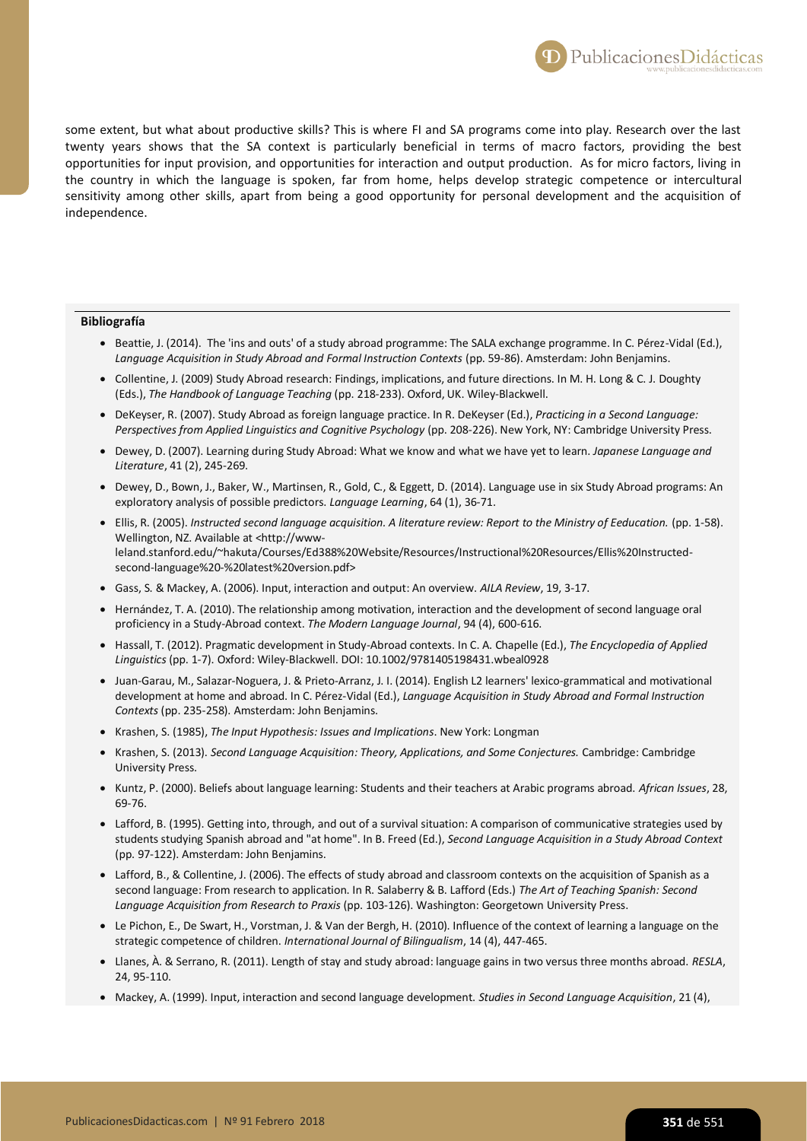some extent, but what about productive skills? This is where FI and SA programs come into play. Research over the last twenty years shows that the SA context is particularly beneficial in terms of macro factors, providing the best opportunities for input provision, and opportunities for interaction and output production. As for micro factors, living in the country in which the language is spoken, far from home, helps develop strategic competence or intercultural sensitivity among other skills, apart from being a good opportunity for personal development and the acquisition of independence.

#### **Bibliografía**

- Beattie, J. (2014). The 'ins and outs' of a study abroad programme: The SALA exchange programme. In C. Pérez-Vidal (Ed.), *Language Acquisition in Study Abroad and Formal Instruction Contexts* (pp. 59-86). Amsterdam: John Benjamins.
- Collentine, J. (2009) Study Abroad research: Findings, implications, and future directions. In M. H. Long & C. J. Doughty (Eds.), *The Handbook of Language Teaching* (pp. 218-233). Oxford, UK. Wiley-Blackwell.
- DeKeyser, R. (2007). Study Abroad as foreign language practice. In R. DeKeyser (Ed.), *Practicing in a Second Language: Perspectives from Applied Linguistics and Cognitive Psychology* (pp. 208-226). New York, NY: Cambridge University Press.
- Dewey, D. (2007). Learning during Study Abroad: What we know and what we have yet to learn. *Japanese Language and Literature*, 41 (2), 245-269.
- Dewey, D., Bown, J., Baker, W., Martinsen, R., Gold, C., & Eggett, D. (2014). Language use in six Study Abroad programs: An exploratory analysis of possible predictors. *Language Learning*, 64 (1), 36-71.
- Ellis, R. (2005). *Instructed second language acquisition. A literature review: Report to the Ministry of Eeducation.* (pp. 1-58). Wellington, NZ. Available at <http://wwwleland.stanford.edu/~hakuta/Courses/Ed388%20Website/Resources/Instructional%20Resources/Ellis%20Instructedsecond-language%20-%20latest%20version.pdf>
- Gass, S. & Mackey, A. (2006). Input, interaction and output: An overview. *AILA Review*, 19, 3-17.
- Hernández, T. A. (2010). The relationship among motivation, interaction and the development of second language oral proficiency in a Study-Abroad context. *The Modern Language Journal*, 94 (4), 600-616.
- Hassall, T. (2012). Pragmatic development in Study-Abroad contexts. In C. A. Chapelle (Ed.), *The Encyclopedia of Applied Linguistics* (pp. 1-7). Oxford: Wiley-Blackwell. DOI: 10.1002/9781405198431.wbeal0928
- Juan-Garau, M., Salazar-Noguera, J. & Prieto-Arranz, J. I. (2014). English L2 learners' lexico-grammatical and motivational development at home and abroad. In C. Pérez-Vidal (Ed.), *Language Acquisition in Study Abroad and Formal Instruction Contexts* (pp. 235-258). Amsterdam: John Benjamins.
- Krashen, S. (1985), *The Input Hypothesis: Issues and Implications*. New York: Longman
- Krashen, S. (2013). *Second Language Acquisition: Theory, Applications, and Some Conjectures.* Cambridge: Cambridge University Press.
- Kuntz, P. (2000). Beliefs about language learning: Students and their teachers at Arabic programs abroad. *African Issues*, 28, 69-76.
- Lafford, B. (1995). Getting into, through, and out of a survival situation: A comparison of communicative strategies used by students studying Spanish abroad and "at home". In B. Freed (Ed.), *Second Language Acquisition in a Study Abroad Context* (pp. 97-122). Amsterdam: John Benjamins.
- Lafford, B., & Collentine, J. (2006). The effects of study abroad and classroom contexts on the acquisition of Spanish as a second language: From research to application. In R. Salaberry & B. Lafford (Eds.) *The Art of Teaching Spanish: Second Language Acquisition from Research to Praxis* (pp. 103-126). Washington: Georgetown University Press.
- Le Pichon, E., De Swart, H., Vorstman, J. & Van der Bergh, H. (2010). Influence of the context of learning a language on the strategic competence of children. *International Journal of Bilingualism*, 14 (4), 447-465.
- Llanes, À. & Serrano, R. (2011). Length of stay and study abroad: language gains in two versus three months abroad. *RESLA*, 24, 95-110.
- Mackey, A. (1999). Input, interaction and second language development. *Studies in Second Language Acquisition*, 21 (4),